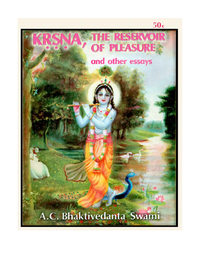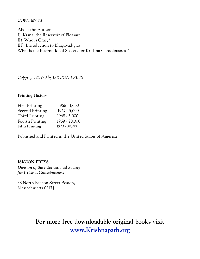### **CONTENTS**

About the Author I) Krsna, the Reservoir of Pleasure II) Who is Crazy? III) Introduction to Bhagavad-gita What is the International Society for Krishna Consciousness?

*Copyright ©1970 by ISKCON PRESS*

#### **Printing History**

| <b>First Printing</b> | $1966 - 1,000$ |
|-----------------------|----------------|
| Second Printing       | 1967 - 5,000   |
| Third Printing        | $1968 - 5,000$ |
| Fourth Printing       | 1969 - 20,000  |
| Fifth Printing        | 1970 - 30,000  |

Published and Printed in the United States of America

#### **ISKCON PRESS**

*Division of the International Society for Krishna Consciousness*

38 North Beacon Street Boston, Massachusetts 02134

# **For more free downloadable original books visit [www.Krishnapath.org](http://www.Krishnapath.org)**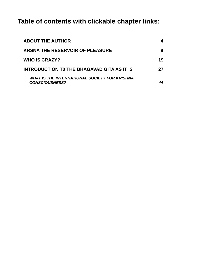# **Table of contents with clickable chapter links:**

| <b>ABOUT THE AUTHOR</b>                                                |    |
|------------------------------------------------------------------------|----|
| <b>KRSNA THE RESERVOIR OF PLEASURE</b>                                 | 9  |
| <b>WHO IS CRAZY?</b>                                                   | 19 |
| <b>INTRODUCTION TO THE BHAGAVAD GITA AS IT IS</b>                      | 27 |
| WHAT IS THE INTERNATIONAL SOCIETY FOR KRISHNA<br><b>CONSCIOUSNESS?</b> |    |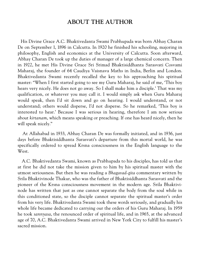# <span id="page-3-0"></span>**ABOUT THE AUTHOR**

 His Divine Grace A.C. Bhaktivedanta Swami Prabhupada was born Abhay Charan De on September 1, 1896 in Calcutta. In 1920 he finished his schooling, majoring in philosophy, English and economics at the University of Calcutta. Soon afterward, Abhay Charan De took up the duties of manager of a large chemical concern. Then in 1922, he met His Divine Grace Sri Srimad Bhaktisiddhanta Sarasvati Cosvami Maharaj, the founder of 64 Caudiya Vaisnava Maths in India, Berlin and London. Bhaktivedanta Swami recently recalled the key to his approaching his spiritual master: "When I first started going to see my Guru Maharaj, he said of me, 'This boy hears very nicely. He does not go away. So I shall make him a disciple.' That was my qualification, or whatever you may call it. I would simply ask when Guru Maharaj would speak, then I'd sit down and go on hearing. I would understand, or not understand; others would disperse, I'd not disperse. So he remarked, 'This boy is interested to hear.' Because I was serious in hearing, therefore I am now serious about *kirtanam*, which means speaking or preaching. If one has heard nicely, then he will speak nicely."

 At Allahabad in 1933, Abhay Charan De was formally initiated, and in 1936, just days before Bhaktisiddhanta Sarasvati's departure from this mortal world, he was specifically ordered to spread Krsna consciousness in the English language to the West.

 A.C. Bhaktivedanta Swami, known as Prabhupada to his disciples, has told us that at first he did not take the mission given to him by his spiritual master with the utmost seriousness. But then he was reading a *Bhagavad-gita* commentary written by Srila Bhaktivinode Thakur, who was the father of Bhaktisiddhanta Sarasvati and the pioneer of the Krsna consciousness movement in the modern age. Srila Bhaktivinode has written that just as one cannot separate the body from the soul while in this conditioned state, so the disciple cannot separate the spiritual master's order from his very life. Bhaktivedanta Swami took these words seriously, and gradually his whole life became dedicated to carrying our the orders of his Guru Maharaj. In 1959 he took *sannyasa*, the renounced order of spiritual life, and in 1965, at the advanced age of 70, A.C. Bhaktivedanta Swami arrived in New York City to fulfill his master's sacred mission.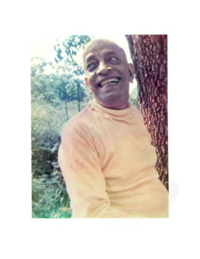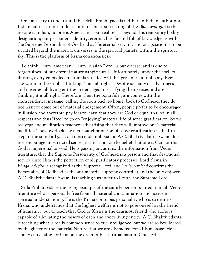One must try to understand that Srila Prabhupada is neither an Indian author nor Indian culturist nor Hindu sectarian. The first teaching of the *Bhagavad-gita* is that no one is Indian, no one is American—our real self is beyond this temporary bodily designation; our permanent identity, eternal, blissful and full of knowledge, is with the Supreme Personality of Godhead as His eternal servant; and our position is to be situated beyond the material universes in the spiritual planets, within the spiritual sky. This is the platform of Krsna consciousness.

 To think, "I am American," "I am Russian," etc., is our disease, and is due to forgetfulness of our eternal nature as spirit soul. Unfortunately, under the spell of illusion, every embodied creature is satisfied with his present material body. Even the worm in the stool is thinking, "I am all right." Despite so many disadvantages and miseries, all living entities are engaged in satisfying their senses and are thinking it is all right. Therefore when the bona fide *guru* comes with the transcendental message, calling the souls back to home, back to Godhead, they do not want to come out of material encagement. Often, people prefer to be encouraged in illusion and therefore pay fees to learn that they are God or equal to God in all respects and thus "free" to go on "enjoying" material life of sense gratification. So we see yoga and meditation teachers advertising that they will improve one's material facilities. They overlook the fact that elimination of sense gratification is the first step in the standard *yoga* or transcendental system. A.C. Bhaktivedanta Swami does not encourage unrestricted sense gratification, or the belief that one is God, or that God is impersonal or void. He is passing on, as it is, the information from Vedic literature, that the Supreme Personality of Godhead is a person and that devotional service unto Him is the perfection of all purificatory processes. Lord Krsna in *Bhagavad-gita* is recognized as the Supreme Lord, and *Sri isopanisad* confirms the Personality of Godhead as the antimaterial supreme controller and the only enjoyer. A.C. Bhaktivedanta Swami is teaching surrender to Krsna, the Supreme Lord.

 Srila Prabhupada is the living example of the saintly person pointed to in all Vedic literature who is personally free from all material contamination and active in spiritual understanding. He is the Krsna conscious personality who is so dear to Krsna, who understands that the highest welfare is not to pose oneself as the friend of humanity, but to teach that God or Krsna is the dearmost friend who alone is capable of alleviating the misery of each and every living entity. A.C. Bhaktivedanta is teaching what is really common sense to our intelligence, but we are so bewildered by the glitter of the material Nature that we are distracted from his message. He is simply canvassing for God on the order of his spiritual master. Once Srila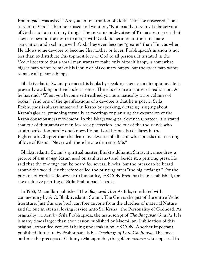Prabhupada was asked, "Are you an incarnation of God?" "No," he answered, "I am servant of God." Then he paused and went on, "Not exactly servant. To be servant of God is not an ordinary thing." The servants or devotees of Krsna are so great that they are beyond the desire to merge with God. Sometimes, in their intimate association and exchange with God, they even become "greater" than Him, as when He allows some devotee to become His mother or lover. Prabhupada's mission is not less than to distribute this topmost love of God to all persons. It is stated in the Vedic literature that a small man wants to make only himself happy, a somewhat bigger man wants to make his family or his country happy, but the great man wants to make all persons happy.

 Bhaktivedanta Swami produces his books by speaking them on a dictaphone. He is presently working on five books at once. These books are a matter of realization. As he has said, "When you become self-realized you automatically write volumes of books." And one of the qualifications of a devotee is that he is poetic. Srila Prabhupada is always immersed in Krsna by speaking, dictating, singing about Krsna's glories, preaching formally at meetings or planning the expansion of the Krsna consciousness movement. In the Bhagavad-gita, Seventh Chapter, it is stated that out of thousands of men few seek perfection, and out of the thousands who attain perfection hardly one knows Krsna. Lord Krsna also declares in the Eighteenth Chapter that the dearmost devotee of all is he who spreads the teaching of love of Krsna: "Never will there be one dearer to Me."

 Bhaktivedanta Swami's spiritual master, Bhaktisiddhanta Sarasvati, once drew a picture of a *mrdanga* (drum used on sankirtana) and, beside it, a printing press. He said that the *mrdanga* can be heard for several blocks, but the press can be heard around the world. He therefore called the printing press "the big *mrdanga*." For the purpose of world-wide service to humanity, ISKCON Press has been established, for the exclusive printing of Srila Prabhupada's books.

 In 1968, Macmillan published The *Bhagavad Gita* As It ls, translated with commentary by A.C. Bhaktivedanta Swami. The Gita is the gist of the entire Vedic literature. Just this one book can free anyone from the clutches of material Nature and fix one in eternal loving service unto Sri Krsna , the Personality of Godhead. As originally written by Srila Prabhupada, the manuscript of *The Bhagavad Gita* As It ls is many times larger than the version published by Macmillan. Publication of this original, expanded version is being undertaken by ISKCON. Another important published literature by Prabhupada is his *Teachings of Lord Chaitanya*. This book outlines the precepts of Caitanya Mahaprabhu, the golden *avatara* who appeared in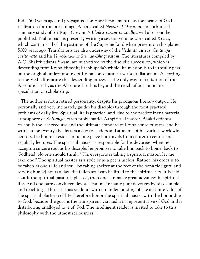India 500 years ago and propagated the Hare Krsna mantra as the means of God realization for the present age. A book called *Nectar of Devotion*, an authorized summary study of Sri Rupa Gosvami's *Bhakti-rasamrta-sindhu*, will also soon be published. Prabhupada is presently writing a several volume work called *Krsna*, which contains all of the pastimes of the Supreme Lord when present on this planet 5000 years ago. Translations are also underway of the *Vedanta-sutras*, *Caitanyacaritamrta* and his 12 volumes of *Srimad-Bhagavatam*. The literatures compiled by A.C. Bhaktivedanta Swami are authorized by the disciplic succession, which is descending from Krsna Himself; Prabhupada's whole life mission is to faithfully pass on the original understanding of Krsna consciousness without distortion. According to the Vedic literature this descending process is the only way to realization of the Absolute Truth, as the Absolute Truth is beyond the reach of our mundane speculation or scholarship.

 The author is not a retired personality, despite his prodigious literary output. He personally and very intimately guides his disciples through the most practical problems of daily life. Spiritual life is practical and, due to the predominent material atmosphere of *Kali-yuga*, often problematic. As spiritual master, Bhaktivedanta Swami is the last recourse and the ultimate standard of Krsna consciousness, and he writes some twenty-five letters a day to leaders and students of his various worldwide centers. He himself resides in no one place but travels from center to center and regularly lectures. The spiritual master is responsible for his devotees; when he accepts a sincere soul as his disciple, he promises to take him back to home, back to Godhead. No one should think, "Oh, everyone is taking a spiritual master; let me take one." The spiritual master as a style or as a pet is useless. Rather, his order is to be taken as one's life and soul. By taking shelter at the feet of the bona fide guru and serving him 24 hours a day, the fallen soul can be lifted to the spiritual sky. It is said that if the spiritual master is pleased, then one can make great advances in spiritual life. And one pure convinced devotee can make many pure devotees by his example and teachings. Those serious students with an understanding of the absolute value of the spiritual platform of life therefore honor the spiritual master with the honor due to God, because the guru is the transparent via media or representative of God and is distributing unalloyed love of God. The intelligent reader is invited to take to this philosophy with the utmost seriousness.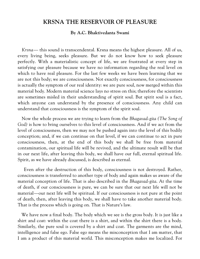# <span id="page-8-0"></span>**KRSNA THE RESERVOIR OF PLEASURE**

#### **By A.C. Bhaktivedanta Swami**

 *Krsna*— this sound is transcendental. Krsna means the highest pleasure. All of us, every living being, seeks pleasure. But we do not know how to seek pleasure perfectly. With a materialistic concept of life, we are frustrated at every step in satisfying our pleasure because we have no information regarding the real level on which to have real pleasure. For the last few weeks we have been learning that we are not this body; we are consciousness. Not exactly consciousness, for consciousness is actually the symptom of our real identity: we are pure soul, now merged within this material body. Modern material science lays no stress on this; therefore the scientists are sometimes misled in their understanding of spirit soul. But spirit soul is a fact, which anyone can understand by the presence of consciousness. Any child can understand that consciousness is the symptom of the spirit soul.

 Now the whole process we are trying to learn from the *Bhagavad-gita (The Song of God)* is how to bring ourselves to this level of consciousness. And if we act from the level of consciousness, then we may not be pushed again into the level of this bodily conception; and, if we can continue on that level, if we can continue to act in pure consciousness, then, at the end of this body we shall be free from material contamination, our spiritual life will be revived, and the ultimate result will be that in our next life, after leaving this body, we shall have our full, eternal spiritual life. Spirit, as we have already discussed, is described as eternal.

 Even after the destruction of this body, consciousness is not destroyed. Rather, consciousness is transferred to another type of body and again makes us aware of the material conception of life. That is also described in the *Bhagavad-gita*. At the time of death, if our consciousness is pure, we can be sure that our next life will not be material—our next life will be spiritual. If our consciousness is not pure at the point of death, then, after leaving this body, we shall have to take another material body. That is the process which is going on. That is Nature's law.

 We have now a final body. The body which we see is the gross body. It is just like a shirt and coat: within the coat there is a shirt, and within the shirt there is a body. Similarly, the pure soul is covered by a shirt and coat. The garments are the mind, intelligence and false ego. False ego means the misconception that I am matter, that I am a product of this material world. This misconception makes me localized. For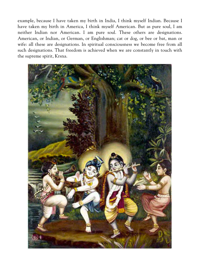example, because I have taken my birth in India, I think myself Indian. Because I have taken my birth in America, I think myself American. But as pure soul, I am neither Indian nor American. I am pure soul. These others are designations. American, or Indian, or German, or Englishman; cat or dog, or bee or bat, man or wife: all these are designations. In spiritual consciousness we become free from all such designations. That freedom is achieved when we are constantly in touch with the supreme spirit, Krsna.

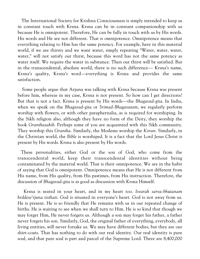The International Society for Krishna Consciousness is simply intended to keep us in constant touch with Krsna. Krsna can be in constant companionship with us because He is omnipotent. Therefore, He can be fully in touch with us by His words. His words and He are not different. That is omnipotence. Omnipotence means that everything relating to Him has the same potency. For example, here in this material world, if we are thirsty and we want water, simply repeating "Water, water, water, water," will not satisfy our thirst, because this word has not the same potency as water itself. We require the water in substance. Then our thirst will be satisfied. But in the transcendental, absolute world, there is no such difference— Krsna's name, Krsna's quality, Krsna's word—everything is Krsna and provides the same satisfaction.

 Some people argue that Arjuna was talking with Krsna because Krsna was present before him, whereas in my case, Krsna is not present. So how can I get directions? But that is not a fact. Krsna is present by His words—the *Bhagavad-gita*. In India, when we speak on the *Bhagavad-gita* or *Srimad-Bhagavatam*, we regularly perform worship with flowers, or with other paraphernalia, as is required for worshiping. In the Sikh religion also, although they have no form of the Deity, they worship the book *Granthasahib*. Perhaps some of you are acquainted with this Sikh community. They worship this *Grantha*. Similarly, the Moslems worship the *Koran*. Similarly, in the Christian world, the *Bible* is worshiped. It is a fact that the Lord Jesus Christ is present by His words. Krsna is also present by His words.

 These personalities, either God or the son of God, who come from the transcendental world, keep their transcendental identities without being contaminated by the material world. That is their omnipotence. We are in the habit of saying that God is omnipotent. Omnipotence means that He is not different from His name, from His quality, from His pastimes, from His instruction. Therefore, the discussion of *Bhagavad-gita* is as good as discussion with Krsna Himself.

 Krsna is seated in your heart, and in my heart too. *Isvarah sarva-bhutanam hrddese'rjuna tisthati*. God is situated in everyone's heart. God is not away from us. He is present. He is so friendly that He remains with us in our repeated change of births. He is waiting to see when we shall turn to Him. He is so kind that though we may forget Him, He never forgets us. Although a son may forget his father, a father never forgets his son. Similarly, God, the original father of everything, everybody, all living entities, will never forsake us. We may have different bodies, but they are our shirt-coats. That has nothing to do with our real identity. Our real identity is pure soul, and that pure soul is part and parcel of the Supreme Lord. There are 8,400,000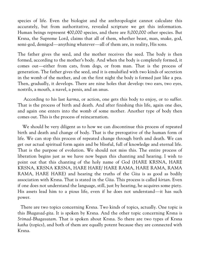species of life. Even the biologist and the anthropologist cannot calculate this accurately, but from authoritative, revealed scripture we get this information. Human beings represent 400,000 species, and there are 8,000,000 other species. But Krsna, the Supreme Lord, claims that all of them, whether beast, man, snake, god, semi-god, demigod—anything whatever—all of them are, in reality, His sons.

The father gives the seed, and the mother receives the seed. The body is then formed, according to the mother's body. And when the body is completely formed, it comes out—either from cats, from dogs, or from man. That is the process of generation. The father gives the seed, and it is emulsified with two kinds of secretion in the womb of the mother, and on the first night the body is formed just like a pea. Then, gradually, it develops. There are nine holes that develop: two ears, two eyes, nostrils, a mouth, a navel, a penis, and an anus.

 According to his last *karma*, or action, one gets this body to enjoy, or to suffer. That is the process of birth and death. And after finishing this life, again one dies, and again one enters into the womb of some mother. Another type of body then comes out. This is the process of reincarnation.

 We should be very diligent as to how we can discontinue this process of repeated birth and death and change of body. That is the prerogative of the human form of life. We can stop this process of repeated change through birth and death. We can get our actual spiritual form again and be blissful, full of knowledge and eternal life. That is the purpose of evolution. We should not miss this. The entire process of liberation begins just as we have now begun this chanting and hearing. I wish to point out that this chanting of the holy name of God (HARE KRSNA, HARE KRSNA, KRSNA KRSNA, HARE HARE/ HARE RAMA, HARE RAMA, RAMA RAMA, HARE HARE) and hearing the truths of the *Gita* is as good as bodily association with Krsna. That is stated in the *Gita*. This process is called *kirtan*. Even if one does not understand the language, still, just by hearing, he acquires some piety. His assets lead him to a pious life, even if he does not understand—it has such power.

 There are two topics concerning Krsna. Two kinds of topics, actually. One topic is this *Bhagavad-gita*. It is spoken by Krsna. And the other topic concerning Krsna is *Srimad-Bhagavatam*. That is spoken about Krsna. So there are two types of Krsna *katha* (topics), and both of them are equally potent because they are connected with Krsna.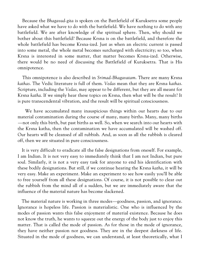Because the *Bhagavad-gita* is spoken on the Battlefield of Kuruksetra some people have asked what we have to do with the battlefield. We have nothing to do with any battlefield. We are after knowledge of the spiritual sphere. Then, why should we bother about this battlefield? Because Krsna is on the battlefield, and therefore the whole battlefield has become Krsna-ized. Just as when an electric current is passed into some metal, the whole metal becomes surcharged with electricity; so too, when Krsna is interested in some matter, that matter becomes Krsna-ized. Otherwise, there would be no need of discussing the Battlefield of Kuruksetra. That is His omnipotence.

 This omnipotence is also described in *Srimad-Bhagavatam*. There are many Krsna *kathas*. The Vedic literature is full of them. *Vedas* mean that they are Krsna *kathas*. Scripture, including the *Vedas*, may appear to be different, but they are all meant for Krsna *katha*. If we simply hear these topics on Krsna, then what will be the result? It is pure transcendental vibration, and the result will be spiritual consciousness.

 We have accumulated many inauspicious things within our hearts due to our material contamination during the course of many, many births. Many, many births —not only this birth, but past births as well. So, when we search into our hearts with the Krsna katha, then the contamination we have accumulated will be washed off. Our hearts will be cleansed of all rubbish. And, as soon as all the rubbish is cleared off, then we are situated in pure consciousness.

 It is very difficult to eradicate all the false designations from oneself. For example, I am Indian. It is not very easy to immediately think that I am not Indian, but pure soul. Similarly, it is not a very easy task for anyone to end his identification with these bodily designations. But still, if we continue hearing the Krsna *katha*, it will be very easy. Make an experiment. Make an experiment to see how easily you'll be able to free yourself from all these designations. Of course, it is not possible to clear out the rubbish from the mind all of a sudden, but we are immediately aware that the influence of the material nature has become slackened.

 The material nature is working in three modes—goodness, passion, and ignorance. Ignorance is hopeless life. Passion is materialistic. One who is influenced by the modes of passion wants this false enjoyment of material existence. Because he does not know the truth, he wants to squeeze out the energy of the body just to enjoy this matter. That is called the mode of passion. As for those in the mode of ignorance, they have neither passion nor goodness. They are in the deepest darkness of life. Situated in the mode of goodness, we can understand, at least theoretically, what I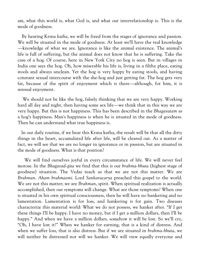am, what this world is, what God is, and what our interrelationship is. This is the mode of goodness.

 By hearing Krsna *katha*, we will be freed from the stages of ignorance and passion. We will be situated in the mode of goodness. At least we'll have the real knowledge —knowledge of what we are. Ignorance is like the animal existence. The animal's life is full of suffering, but the animal does not know that he is suffering. Take the case of a hog. Of course, here in New York City no hog is seen. But in villages in India one sees the hog. Oh, how miserable his life is, living in a filthy place, eating stools and always unclean. Yet the hog is very happy by eating stools, and having constant sexual intercourse with the she-hog and just getting fat. The hog gets very fat, because of the spirit of enjoyment which is there—although, for him, it is sensual enjoyment.

 We should not be like the hog, falsely thinking that we are very happy. Working hard all day and night, then having some sex life—we think that in this way we are very happy. But this is not happiness. This has been described in the *Bhagavatam* as a hog's happiness. Man's happiness is when he is situated in the mode of goodness. Then he can understand what true happiness is.

 In our daily routine, if we hear this Krsna katha, the result will be that all the dirty things in the heart, accumulated life after life, will be cleared out. As a matter of fact, we will see that we are no longer in ignorance or in passion, but are situated in the mode of goodness. What is that position?

 We will find ourselves joyful in every circumstance of life. We will never feel morose. In the *Bhagavad-gita* we find that this is our *brahma-bhuta* (highest stage of goodness) situation. The Vedas teach us that we are not this matter. We are *Brahman*. *Aham brahmasmi*. Lord *Sankaracarya* preached this gospel to the world. We are not this matter; we are *Brahman*, spirit. When spiritual realization is actually accomplished, then our symptoms will change. What are those symptoms? When one is situated in his own spiritual consciousness, then he will have no hankering and no lamentation. Lamentation is for loss, and hankering is for gain. Two diseases characterize this material world: What we do not possess, we hanker after. "If I get these things I'll be happy. I have no money, but if I get a million dollars, then I'll be happy." And when we have a million dollars, somehow it will be lost. So we'll cry, "Oh, I have lost it!" When we hanker for earning, that is a kind of distress. And when we suffer loss, that is also distress. But if we are situated in *brahma-bhuta*, we will neither be distressed nor will we hanker. We will view equally everyone and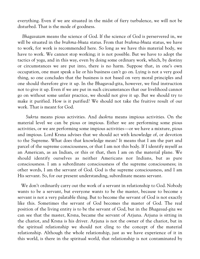everything. Even if we are situated in the midst of fiery turbulence, we will not be disturbed. That is the mode of goodness.

 *Bhagavatam* means the science of God. If the science of God is perservered in, we will be situated in the *brahma-bhuta* status. From that *brahma-bhuta* status, we have to work, for work is recommended here. So long as we have this material body, we have to work. We cannot stop working; it is not possible. But we have to adopt the tactics of *yoga*, and in this way, even by doing some ordinary work, which, by destiny or circumstances we are put into, there is no harm. Suppose that, in one's own occupation, one must speak a lie or his business can't go on. Lying is not a very good thing, so one concludes that the business is not based on very moral principles and one should therefore give it up. In the Bhagavad-gita, however, we find instruction not to give it up. Even if we are put in such circumstances that our livelihood cannot go on without some unfair practice, we should not give it up. But we should try to make it purified. How is it purified? We should not take the fruitive result of our work. That is meant for God.

 *Sukrta* means pious activities. And *duskrta* means impious activities. On the material level we can be pious or impious. Either we are performing some pious activities, or we are performing some impious activities—or we have a mixture, pious and impious. Lord Krsna advises that we should act with knowledge of, or devotion to the Supreme. What does that knowledge mean? It means that I am the part and parcel of the supreme consciousness, or that I am not this body. If I identify myself as an American, as an Indian, or this or that, then I am on the material plane. We should identify ourselves as neither Americans nor Indians, but as pure consciousness. I am a subordinate consciousness of the supreme consciousness; in other words, I am the servant of God. God is the supreme consciousness, and I am His servant. So, for our present understanding, subordinate means servant.

We don't ordinarily carry out the work of a servant in relationship to God. Nobody wants to be a servant, but everyone wants to be the master, because to become a servant is not a very palatable thing. But to become the servant of God is not exactly like this. Sometimes the servant of God becomes the master of God. The real position of the living entity is to be the servant of God, but in the *Bhagavad-gita* we can see that the master, Krsna, became the servant of Arjuna. Arjuna is sitting in the chariot, and Krsna is his driver. Arjuna is not the owner of the chariot, but in the spiritual relationship we should not cling to the concept of the material relationship. Although the whole relationship, just as we have experience of it in this world, is there in the spiritual world, that relationship is not contaminated by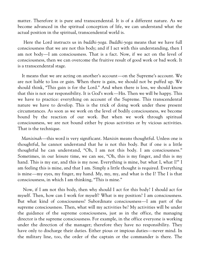matter. Therefore it is pure and transcendental. It is of a different nature. As we become advanced in the spiritual conception of life, we can understand what the actual position in the spiritual, transcendental world is.

 Here the Lord instructs us in *buddhi-yoga. Buddhi-yoga* means that we have full consciousness that we are not this body; and if I act with this understanding, then I am not body—I am consciousness. That is a fact. Now, if we act on the level of consciousness, then we can overcome the fruitive result of good work or bad work. It is a transcendental stage.

 It means that we are acting on another's account—on the Supreme's account. We are not liable to loss or gain. When there is gain, we should not be puffed up. We should think, "This gain is for the Lord." And when there is loss, we should know that this is not our responsibility. It is God's work—His. Then we will be happy. This we have to practice: everything on account of the Supreme. This transcendental nature we have to develop. This is the trick of doing work under these present circumstances. As soon as we work on the level of bodily consciousness, we become bound by the reaction of our work. But when we work through spiritual consciousness, we are not bound either by pious activities or by vicious activities. That is the technique.

 *Manisinah*—this word is very significant. *Manisin* means thoughtful. Unless one is thoughtful, he cannot understand that he is not this body. But if one is a little thoughtful he can understand, "Oh, I am not this body. I am consciousness." Sometimes, in our leisure time, we can see, "Oh, this is my finger, and this is my hand. This is my ear, and this is my nose. Everything is mine, but what I, what I?" I am feeling this is mine, and that I am. Simply a little thought is required. Everything is mine—my eyes, my finger, my hand. My, my, my, and what is the I? The I is that consciousness, in which I am thinking, "This is mine."

 Now, if I am not this body, then why should I act for this body? I should act for myself. Then, how can I work for myself? What is my position? I am consciousness. But what kind of consciousness? Subordinate consciousness—I am part of the supreme consciousness. Then, what will my activities be? My activities will be under the guidance of the supreme consciousness, just as in the office, the managing director is the supreme consciousness. For example, in the office everyone is working under the direction of the manager; therefore they have no responsibility. They have only to discharge their duties. Either pious or impious duties—never mind. In the military line, too, the order of the captain or the commander is there. The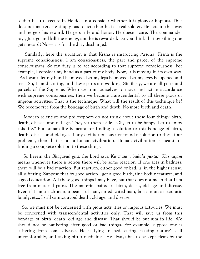soldier has to execute it. He does not consider whether it is pious or impious. That does not matter. He simply has to act, then he is a real soldier. He acts in that way and he gets his reward. He gets title and honor. He doesn't care. The commander says, Just go and kill the enemy, and he is rewarded. Do you think that by killing one gets reward? No—it is for the duty discharged.

 Similarly, here the situation is that Krsna is instructing Arjuna. Krsna is the supreme consciousness. I am consciousness, the part and parcel of the supreme consciousness. So my duty is to act according to that supreme consciousness. For example, I consider my hand as a part of my body. Now, it is moving in its own way. "As I want, let my hand be moved. Let my legs be moved. Let my eyes be opened and see." So, I am dictating, and these parts are working. Similarly, we are all parts and parcels of the Supreme. When we train ourselves to move and act in accordance with supreme consciousness, then we become transcendental to all these pious or impious activities. That is the technique. What will the result of this technique be? We become free from the bondage of birth and death. No more birth and death.

 Modern scientists and philosophers do not think about these four things: birth, death, disease, and old age. They set them aside. "Oh, let us be happy. Let us enjoy this life." But human life is meant for finding a solution to this bondage of birth, death, disease and old age. If any civilization has not found a solution to these four problems, then that is not a human civilization. Human civilization is meant for finding a complete solution to these things.

 So herein the *Bhagavad-gita*, the Lord says, *Karmajam buddhi-yuktah. Karmajam* means whenever there is action there will be some reaction. If one acts in badness, there will be a bad reaction. But reaction, either good or bad, is, in the higher sense, all suffering. Suppose that by good action I get a good birth, fine bodily features, and a good education. All these good things I may have, but that does not mean that I am free from material pains. The material pains are birth, death, old age and disease. Even if I am a rich man, a beautiful man, an educated man, born in an aristocratic family, etc., I still cannot avoid death, old age, and disease.

 So, we must not be concerned with pious activities or impious activities. We must be concerned with transcendental activities only. That will save us from this bondage of birth, death, old age and disease. That should be our aim in life. We should not be hankering after good or bad things. For example, suppose one is suffering from some disease. He is lying in bed, eating, passing nature's call uncomfortably, and taking bitter medicines. He always has to be kept clean by the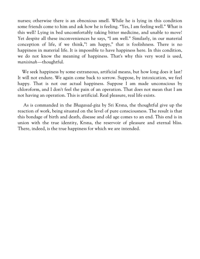nurses; otherwise there is an obnoxious smell. While he is lying in this condition some friends come to him and ask how he is feeling. "Yes, I am feeling well." What is this well? Lying in bed uncomfortably taking bitter medicine, and unable to move! Yet despite all these inconveniences he says, "I am well." Similarly, in our material conception of life, if we think,"! am happy," that is foolishness. There is no happiness in material life. It is impossible to have happiness here. In this condition, we do not know the meaning of happiness. That's why this very word is used, *manisinah*—thoughtful.

 We seek happiness by some extraneous, artificial means, but how long does it last? It will not endure. We again come back to sorrow. Suppose, by intoxication, we feel happy. That is not our actual happiness. Suppose I am made unconscious by chloroform, and I don't feel the pain of an operation. That does not mean that I am not having an operation. This is artificial. Real pleasure, real life exists.

 As is commanded in the *Bhagavad-gita* by Sri Krsna, the thoughtful give up the reaction of work, being situated on the level of pure consciousness. The result is that this bondage of birth and death, disease and old age comes to an end. This end is in union with the true identity, Krsna, the reservoir of pleasure and eternal bliss. There, indeed, is the true happiness for which we are intended.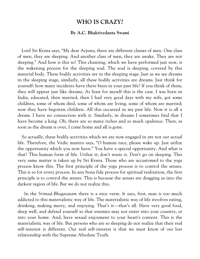# <span id="page-18-0"></span>**WHO IS CRAZY?**

### **By A.C. Bhaktivedanta Swami**

 Lord Sri Krsna says, "My dear Arjuna, there are different classes of men. One class of men, they are sleeping. And another class of men, they are awake. They are not sleeping." And how is this so? This chanting, which we have performed just now, is the wakening process for the sleeping soul. The soul is sleeping, covered by this material body. These bodily activities are in the sleeping stage. Just as we see dreams in the sleeping stage, similarly, all these bodily activities are dreams. Just think for yourself: how many incidents have there been in your past life? If you think of them, they will appear just like dreams. At least for myself this is the case. I was born in India, educated, then married, then I had very good days with my wife, got some children, some of whom died, some of whom are living, some of whom are married; now they have begotten children. All this occurred in my past life. Now it is all a dream. I have no connection with it. Similarly, in dreams I sometimes find that I have become a king. Oh, there are so many riches and so much opulence. Then, as soon as the dream is over, I come home and all is gone.

 So actually, these bodily activities which we are now engaged in are not our actual life. Therefore, the Vedic mantra says, "O human race, please wake up. Just utilize the opportunity which you now have." You have a special opportunity. And what is that? This human form of life. Utilize it; don't waste it. Don't go on sleeping. This very same matter is taken up by Sri Krsna. Those who are accustomed to the *yoga*  process know this. The first principle of the *yoga* process is to control the senses. This is so for every process. In any bona fide process for spiritual realization, the first principle is to control the senses. This is because the senses are dragging us into the darkest region of life. But we do not realize this.

 In the *Srimad-Bhagavatam* there is a nice verse. It says, first, man is too much addicted to this materialistic way of life. The materialistic way of life involves eating, drinking, making merry, and enjoying. That's it—that's all. Have very good food, sleep well, and defend yourself so that enemies may not enter into your country, or into your home. And, have sexual enjoyment to your heart's content. This is the materialistic way of life. But persons who are so sleeping do not realize that their real self-interest is different. Our real self-interest is that we must know of our lost relationship with the Supreme Absolute Truth.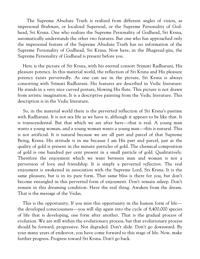The Supreme Absolute Truth is realized from different angles of vision, as impersonal *Brahman*, or localized Supersoul, or the Supreme Personality of Godhead, Sri Krsna. One who realizes the Supreme Personality of Godhead, Sri Krsna, automatically understands the other two features. But one who has approached only the impersonal feature of the Supreme Absolute Truth has no information of the Supreme Personality of Godhead, Sri Krsna. Now here, in the *Bhagavad-gita*, the Supreme Personality of Godhead is present before you.

 Here is the picture of Sri Krsna, with his eternal consort Srimati Radharani, His pleasure potency. In this material world, the reflection of Sri Krsna and His pleasure potency exists pervertedly. As one can see in the picture, Sri Krsna is always consorting with Srimati Radharani. His features are described in Vedic literature: He stands in a very nice curved posture, blowing His flute. This picture is not drawn from artistic imagination. It is a descriptive painting from the Vedic literature. This description is in the Vedic literature.

 So, in the material world there is the perverted reflection of Sri Krsna's pastime with Radharani. It is not sex life as we have it, although it appears to be like that. It is transcendental. But that which we are after here—that is real. A young man wants a young woman, and a young woman wants a young man—this is natural. This is not artificial. It is natural because we are all part and parcel of that Supreme Being, Krsna. His attitude is in me because I am His part and parcel, just as the quality of gold is present in the minute particles of gold. The chemical composition of gold is one hundred per cent present in a small particle of gold. Qualitatively. Therefore the enjoyment which we want between man and woman is not a perversion of love and friendship. It is simply a perverted *reflection*. The real enjoyment is awakened in association with the Supreme Lord, Sri Krsna. It is the same pleasure, but is in its pure form. That same bliss is there for you, but don't become entangled in this perverted form of enjoyment. Don't remain asleep. Don't remain in this dreaming condition. Have the real thing. Awaken from the dream. That is the message of the Vedas.

 This is the opportunity. If you miss this opportunity in the human form of life the developed consciousness—you will slip again into the cycle of 8,400,000 species of life that is developing, one form after another. That is the gradual process of evolution. We are still within the evolutionary process, but that evolutionary process should be forward, progressive. Not degraded. Don't slide. Don't go downward. By your many years of endeavor, you have come forward to this stage of life. Now, make further progress. Progress toward Sri Krsna. Don't go back.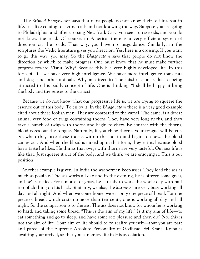The *Srimad-Bhagavatam* says that most people do not know their self-interest in life. It is like coming to a crossroads and not knowing the way. Suppose you are going to Philadelphia, and after crossing New York City, you see a crossroads, and you do not know the road. Of course, in America, there is a very efficient system of direction on the roads. That way, you have no misguidance. Similarly, in the scriptures the Vedic literature gives you direction. Yes, here is a crossing. If you want to go this way, you may. So the *Bhagavatam* says that people do not know the direction by which to make progress. One must know that he must make further progress toward Visnu. Why? Because this is a very highly developed life. In this form of life, we have very high intelligence. We have more intelligence than cats and dogs and other animals. Why misdirect it? The misdirection is due to being attracted to this bodily concept of life. One is thinking, "I shall be happy utilizing the body and the senses to the utmost."

 Because we do not know what our progressive life is, we are trying to squeeze the essence out of this body. To enjoy it. In the *Bhagavatam* there is a very good example cited about these foolish men. They are compared to the camel. The camel is a desert animal very fond of twigs containing thorns. They have very long necks, and they take a bunch of twigs with thorns and begin to chew. By contact with the thorns, blood oozes out the tongue. Naturally, if you chew thorns, your tongue will be cut. So, when they take those thorns within the mouth and begin to chew, the blood comes out. And when the blood is mixed up in that form, they eat it, because blood has a taste he likes. He thinks that twigs with thorns are very tasteful. Our sex life is like that. Just squeeze it out of the body, and we think we are enjoying it. This is our position.

 Another example is given. In India the washermen keep asses. They load the ass as much as possible. The ass works all day and in the evening, he is offered some grass, and he's satisfied. For a morsel of grass, he is ready to work the whole day with half ton of clothing on his back. Similarly, we also, the *karmins*, are very busy working all day and all night. And when we come home, we eat only one piece of bread. For one piece of bread, which costs no more than ten cents, one is working all day and all night. So the comparison is to the ass. The ass does not know for whom he is working so hard, and taking some bread. "This is the aim of my life." Is it my aim of life—to eat something and go to sleep, and have some sex pleasure and then die? No, this is not the aim of life. Your aim of life should be to realize yourself—that you are part and parcel of the Supreme Absolute Personality of Godhead, Sri Krsna. Krsna is awaiting your arrival, so that you can enjoy life in His association.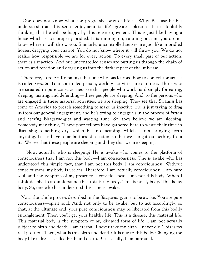One does not know what the progressive way of life is. Why? Because he has understood that this sense enjoyment is life's greatest pleasure. He is foolishly thinking that he will be happy by this sense enjoyment. This is just like having a horse which is not properly bridled. It is running on, running on, and you do not know where it will throw you. Similarly, uncontrolled senses are just like unbridled horses, dragging your chariot. You do not know where it will throw you. We do not realize how responsible we are for every action. To every small part of our action, there is a reaction. And our uncontrolled senses are putting us through the chain of action and reaction and dragging us into the darkest part of the universe.

 Therefore, Lord Sri Krsna says that one who has learned how to control the senses is called *svamin*. To a controlled person, worldly activities are darkness. Those who are situated in pure consciousness see that people who work hard simply for eating, sleeping, mating, and defending—these people are sleeping. And, to the persons who are engaged in these material activities, we are sleeping. They see that Swamiji has come to America to preach something to make us inactive. He is just trying to drag us from our general engagement, and he's trying to engage us in the process of *kirtan* and *hearing* Bhagavad-gita and wasting time. So, they believe we are sleeping. Somebody may think, "These poor fellows have gathered here to waste their time in discussing something dry, which has no meaning, which is not bringing forth anything. Let us have some business discussion, so that we can gain something from it." We see that these people are sleeping and they that we are sleeping.

 Now, actually, who is sleeping? He is awake who comes to the platform of consciousness that I am not this body—I am consciousness. One is awake who has understood this simple fact, that I am not this body, I am consciousness. Without consciousness, my body is useless. Therefore, I am actually consciousness. I am pure soul, and the symptom of my presence is consciousness. I am not this body. When I think deeply, I can understand that this is my body. This is not I, body. This is my body. So, one who has understood this—he is awake.

 Now, the whole process described in the *Bhagavad-gita* is to be awake. You are pure consciousness—spirit soul. And, not only to be awake, but to act accordingly, so that, at the ultimate end, your pure consciousness may be liberated from this bodily entanglement. Then you'll get your healthy life. This is a disease, this material life. This material body is the symptom of my diseased form of life. I am not actually subject to birth and death. I am eternal. I never take my birth. I never die. This is my real position. Then, what is this birth and death? It is due to this body. Changing the body like a dress is called birth and death. But actually, I am pure soul.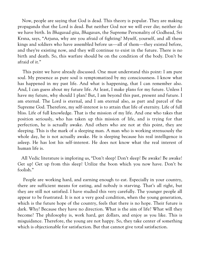Now, people are saying that God is dead. This theory is popular. They are making propaganda that the Lord is dead. But neither God nor we will ever die; neither do we have birth. In *Bhagavad-gita*, *Bhagavan*, the Supreme Personality of Godhead, Sri Krsna, says, "Arjuna, why are you afraid of fighting? Myself, yourself, and all these kings and soldiers who have assembled before us—all of them—they existed before, and they're existing now, and they will continue to exist in the future. There is no birth and death. So, this warfare should be on the condition of the body. Don't be afraid of it."

 This point we have already discussed. One must understand this point: I am pure soul. My presence as pure soul is symptomatized by my consciousness. I know what has happened in my past life. And what is happening, that I can remember also. And, I can guess about my future life. At least, I make plans for my future. Unless I have my future, why should 1 plan? But, I am beyond this past, present and future. I am eternal. The Lord is eternal, and I am eternal also, as part and parcel of the Supreme God. Therefore, my self-interest is to attain that life of eternity. Life of full bliss. Life of full knowledge. That is the mission of my life. And one who takes that position seriously, who has taken up this mission of life, and is trying for that perfection, he is actually awake. And others who are not at this point, they are sleeping. This is the mark of a sleeping man. A man who is working strenuously the whole day, he is not actually awake. He is sleeping because his real intelligence is asleep. He has lost his self-interest. He does not know what the real interest of human life is.

 All Vedic literature is imploring us, "Don't sleep! Don't sleep! Be awake! Be awake! Get up! Get up from this sleep! Utilize the boon which you now have. Don't be foolish."

 People are working hard, and earning enough to eat. Especially in your country, there are sufficient means for eating, and nobody is starving. That's all right, but they are still not satisfied. I have studied this very carefully. The younger people all appear to be frustrated. It is not a very good condition, when the young generation, which is the future hope of the country, feels that there is no hope. Their future is dark. Why? Because they have no direction. What is the aim of life? What will they become? The philosophy is, work hard, get dollars, and enjoy as you like. This is misguidance. Therefore, the young are not happy. So, they take center of something which is objectionable for satisfaction. But that cannot give total satisfaction.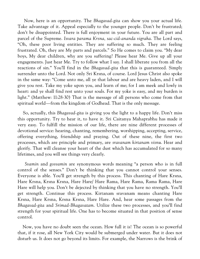Now, here is an opportunity. The *Bhagavad-gita* can show you your actual life. Take advantage of it. Appeal especially to the younger people. Don't be frustrated; don't be disappointed. There is full enjoyment in your future. You are all part and parcel of the Supreme. *Isvara parama Krsna, sac-cid-ananda vigraha*. The Lord says, "Oh, these poor living entities. They are suffering so much. They are feeling frustrated. Oh, they are My parts and parcels." So He comes to claim you. "My dear boys, My dear children, why are you suffering? Please hear Me. Give up all your engagements. Just hear Me. Try to follow what I say. I shall liberate you from all the reactions of sin." You'll find in the *Bhagavad-gita* that this is guaranteed. Simply surrender unto the Lord. Not only Sri Krsna, of course. Lord Jesus Christ also spoke in the same way: "Come unto me, all ye that labour and are heavy laden, and I will give you rest. Take my yoke upon you, and learn of me; for I am meek and lowly in heart: and ye shall find rest unto your souls. For my yoke is easy, and my burden is light." (Matthew: 11:28-30) That is the message of all persons who come from that spiritual world—from the kingdom of Godhead. That is the only message.

 So, actually, this *Bhagavad-gita* is giving you the light to a happy life. Don't miss this opportunity. Try to hear it, to have it. Sri Caitanya Mahaprabhu has made it very easy. To fulfill the mission of our life, there are nine different processes of devotional service: hearing, chanting, remembering, worshipping, accepting, service, offering everything, friendship and praying. Out of these nine, the first two processes, which are principle and primary, are *sravanam kirtanam visnu*. Hear and glorify. That will cleanse your heart of the dust which has accumulated for so many lifetimes, and you will see things very clearly.

 *Svamin* and *gosvamin* are synonymous words meaning "a person who is in full control of the senses." Don't be thinking that you cannot control your senses. Everyone is able. You'll get strength by this process. This chanting of Hare Krsna, Hare Krsna, Krsna Krsna, Hare Hare/ Hare Rama, Hare Rama, Rama Rama, Hare Hare will help you. Don't be dejected by thinking that you have no strength. You'll get strength. Continue this process. Kirtanam sravanam means chanting Hare Krsna, Hare Krsna, Krsna Krsna, Hare Hare. And, hear some passages from the *Bhagavad-gita* and *Srimad-Bhagavatam*. Utilize these two processes, and you'll find strength for your spiritual life. One has to become situated in that position of sense control.

 Now, you have no doubt seen the ocean. How full it is! The ocean is so powerful that, if it rose, all New York City would be submerged under water. But it does not disturb us. It does not go beyond its limits. For example, the Narrows is the brink of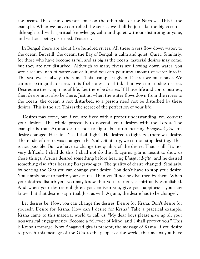the ocean. The ocean does not come on the other side of the Narrows. This is the example. When we have controlled the senses, we shall be just like the big ocean although full with spiritual knowledge, calm and quiet without disturbing anyone, and without being disturbed. Peaceful.

 In Bengal there are about five hundred rivers. All these rivers flow down water, to the ocean. But still, the ocean, the Bay of Bengal, is calm and quiet. Quiet. Similarly, for those who have become as full and as big as the ocean, material desires may come, but they are not disturbed. Although so many rivers are flowing down water, you won't see an inch of water out of it, and you can pour any amount of water into it. The sea level is always the same. This example is given. Desires we must have. We cannot extinguish desires. It is foolishness to think that we can subdue desires. Desires are the symptoms of life. Let there be desires. If I have life and consciousness, then desire must also be there. Just as, when the water flows down from the rivers to the ocean, the ocean is not disturbed, so a person need not be disturbed by these desires. This is the art. This is the secret of the perfection of your life.

 Desires may come, but if you are fixed with a proper understanding, you convert your desires. The whole process is to dovetail your desires with the Lord's. The example is that Arjuna desires not to fight, but after hearing *Bhagavad-gita*, his desire changed. He said, "Yes, I shall fight!" He desired to fight. So, there was desire. The mode of desire was changed, that's all. Similarly, we cannot stop desiring. That is not possible. But we have to change the quality of the desire. That is all. It's not very difficult: I shall do this, I shall not do this. *Bhagavad-gita* is meant to show us these things. Arjuna desired something before hearing *Bhagavad-gita*, and he desired something else after hearing Bhagavad-gita. The quality of desire changed. Similarly, by hearing the *Gita* you can change your desire. You don't have to stop your desire. You simply have to purify your desires. Then you'll not be disturbed by them. When your desires disturb you, you may know that you are not yet spiritually established. And when your desires enlighten you, enliven you, give you happiness—you may know that that desire is spiritual. Just as with Arjuna, the desire has to be changed.

 Let desires be. Now, you can change the desires. Desire for Krsna. Don't desire for yourself. Desire for Krsna. How can I desire for Krsna? Take a practical example. Krsna came to this material world to call us: "My dear boys please give up all your nonsensical engagements. Become a follower of Mine, and I shall protect you." This is Krsna's message. Now Bhagavad-gita is present, the message of Krsna. If you desire to preach this message of the *Gita* to the people of the world, that means you have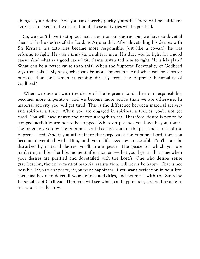changed your desire. And you can thereby purify yourself. There will be sufficient activities to execute the desire. But all those activities will be purified.

 So, we don't have to stop our activities, nor our desires. But we have to dovetail them with the desires of the Lord, as Arjuna did. After dovetailing his desires with Sri Krsna's, his activities became more responsible. Just like a coward, he was refusing to fight. He was a *ksatriya*, a military man. His duty was to fight for a good cause. And what is a good cause? Sri Krsna instructed him to fight: "It is My plan." What can be a better cause than this? When the Supreme Personality of Godhead says that this is My wish, what can be more important? And what can be a better purpose than one which is coming directly from the Supreme Personality of Godhead?

 When we dovetail with the desire of the Supreme Lord, then our responsibility becomes more imperative, and we become more active than we are otherwise. In material activity you will get tired. This is the difference between material activity and spiritual activity. When you are engaged in spiritual activities, you'll not get tired. You will have newer and newer strength to act. Therefore, desire is not to be stopped; activities are not to be stopped. Whatever potency you have in you, that is the potency given by the Supreme Lord, because you are the part and parcel of the Supreme Lord. And if you utilize it for the purposes of the Supreme Lord, then you become dovetailed with Him, and your life becomes successful. You'll not be disturbed by material desires, you'll attain peace. The peace for which you are hankering in life after life, moment after moment—that you'll get at that time when your desires are purified and dovetailed with the Lord's. One who desires sense gratification, the enjoyment of material satisfaction, will never be happy. That is not possible. If you want peace, if you want happiness, if you want perfection in your life, then just begin to dovetail your desires, activities, and potential with the Supreme Personality of Godhead. Then you will see what real happiness is, and will be able to tell who is really crazy.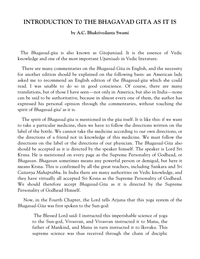# <span id="page-26-0"></span>**INTRODUCTION T0 THE BHAGAVAD GITA AS IT IS**

### **by A.C. Bhaktivedanta Swami**

 The *Bhagavad-gita* is also known as *Gitopanisad*. It is the essence of Vedic knowledge and one of the most important *Upanisads* in Vedic literature.

 There are many commentaries on the *Bhagavad-Gita* in English, and the necessity for another edition should be explained on the following basis: an American lady asked me to recommend an English edition of the *Bhagavad-gita* which she could read. I was unable to do so in good conscience. Of course, there are many translations, but of those I have seen—not only in America, but also in India—none can be said to be authoritative, because in almost every one of them, the author has expressed his personal opinion through the commentaries, without touching the spirit of *Bhagavad-gita*' as it is.

 The spirit of *Bhagavad-gita* is mentioned in the *gita* itself. It is like this: if we want to take a particular medicine, then we have to follow the directions written on the label of the bottle. We cannot take the medicine according to our own directions, or the directions of a friend not in knowledge of this medicine. We must follow the directions on the label or the directions of our physician. The *Bhagavad-Gita* also should be accepted as it is directed by the speaker himself. The speaker is Lord Sri Krsna. He is mentioned on every page as the Supreme Personality of Godhead, or *Bhagavan*. *Bhagavan* sometimes means any powerful person or demigod, but here it means Krsna. This is confirmed by all the great teachers, including Sankara and *Sri Caitanya Mahaprabhu*. In India there are many authorities on Vedic knowledge, and they have virtually all accepted Sri Krsna as the Supreme Personality of Godhead. We should therefore accept *Bhagavad-Gita* as it is directed by the Supreme Personality of Godhead Himself.

 Now, in the Fourth Chapter, the Lord tells Arjuna that this *yoga* system of the *Bhagavad-Gita* was first spoken to the Sun-god:

 The Blessed Lord said: I instructed this imperishable science of yoga to the Sun-god, Vivasvan, and Vivasvan instructed it to Manu, the father of Mankind, and Manu in turn instructed it to Iksvaku. This supreme science was thus received through the chain of disciplic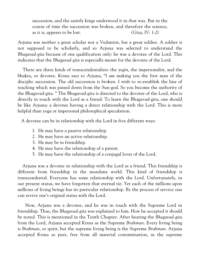succession, and the saintly kings understood it in that way. But in the course of time the succession was broken, and therefore the science, as it is, appears to be lost. *(Giza, IV: 1-2)*

Arjuna was neither a great scholar nor a Vedantist, but a great soldier. A soldier is not supposed to be scholarly, and so Arjuna was selected to understand the *Bhagavad-gita* because of one qualification only: he was a devotee of the Lord. This indicates that the *Bhagavad-gita* is especially meant for the devotee of the Lord.

 There are three kinds of transcendentalists: the *yogin*, the impersonalist, and the bhakta, or devotee. Krsna says to Arjuna, "I am making you the first man of the disciplic succession. The old succession is broken. I wish to re-establish the line of teaching which was passed down from the Sun-god. So you become the authority of the Bhagavad-gita. " The Bhagavad-gita is directed to the devotee of the Lord, who is directly in touch with the Lord as a friend. To learn the Bhagavad-gita, one should be like Arjuna: a devotee having a direct relationship with the Lord. This is more helpful than yoga or impersonal philosophical speculation.

A devotee can be in relationship with the Lord in five different ways:

- 1. He may have a passive relationship.
- 2. He may have an active relationship.
- 3. He may be in friendship.
- 4. He may have the relationship of a parent.
- 5. He may have the relationship of a conjugal lover of the Lord.

 Arjuna was a devotee in relationship with the Lord as a friend. This friendship is different from friendship in the mundane world. This kind of friendship is transcendental. Everyone has some relationship with the Lord. Unfortunately, in our present status, we have forgotten that eternal tie. Yet each of the millions upon millions of living beings has its particular relationship. By the process of service one can revive one's original status with the Lord.

 Now, Arjuna was a devotee, and he was in touch with the Supreme Lord in friendship. Thus, the *Bhagavad-gita* was explained to him. How he accepted it should be noted. This is mentioned in the Tenth Chapter. After hearing the *Bhagavad-gita*  from the Lord, Arjuna accepted Krsna as the Supreme *Brahman*. Every living being is *Brahman*, or spirit, but the supreme living being is the Supreme *Brahman*. Arjuna accepted Krsna as pure, free from all material contamination, as the supreme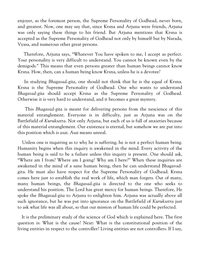enjoyer, as the foremost person, the Supreme Personality of Godhead, never born, and greatest. Now, one may say that, since Krsna and Arjuna were friends, Arjuna was only saying these things to his friend. But Arjuna mentions that Krsna is accepted as the Supreme Personality of Godhead not only by himself but by Narada, Vyasa, and numerous other great persons.

 Therefore, Arjuna says, "Whatever You have spoken to me, I accept as perfect. Your personality is very difficult to understand. You cannot be known even by the demigods." This means that even persons greater than human beings cannot know Krsna. How, then, can a human being know Krsna, unless he is a devotee?

 In studying *Bhagavad-gita*, one should not think that he is the equal of Krsna. Krsna is the Supreme Personality of Godhead. One who wants to understand *Bhagavad-gita* should accept Krsna as the Supreme Personality of Godhead. Otherwise it is very hard to understand, and it becomes a great mystery.

 This *Bhagavad-gita* is meant for delivering persons from the nescience of this material entanglement. Everyone is in difficulty, just as Arjuna was on the Battlefield of *Kuruksetra*. Not only Arjuna, but each of us is full of anxieties because of this material entanglement. Our existence is eternal, but somehow we are put into this position which is *asat. Asat* means unreal.

 Unless one is inquiring as to why he is suffering, he is not a perfect human being. Humanity begins when this inquiry is awakened in the mind. Every activity of the human being is said to be a failure unless this inquiry is present. One should ask, "Where am I from? Where am I going? Why am I here?" When these inquiries are awakened in the mind of a sane human being, then he can understand Bhagavadgita. He must also have respect for the Supreme Personality of Godhead. Krsna comes here just to establish the real work of life, which man forgets. Out of many, many human beings, the *Bhagavad-gita* is directed to the one who seeks to understand his position. The Lord has great mercy for human beings. Therefore, He spoke the *Bhagavad-gita* to Arjuna to enlighten him. Arjuna was actually above all such ignorance, but he was put into ignorance on the Battlefield of *Kuruksetra* just to ask what life was all about, so that our mission of human life could be perfected.

 It is the preliminary study of the science of God which is explained here. The first question is: What is the cause? Next: What is the constitutional position of the living entities in respect to the controller? Living entities are not controllers. If I say,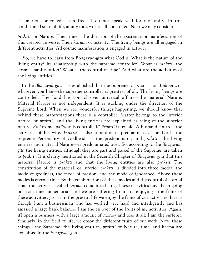"I am not controlled; I am free," I do not speak well for my sanity. In this conditioned state of life, at any rate, we are all controlled. Next we may consider

*prakrti*, or Nature. Then time—the duration of the existence or manifestation of this created universe. Then *karma*, or activity. The living beings are all engaged in different activities. All cosmic manifestation is engaged in activity.

 So, we have to learn from Bhagavad-gita what God is. What is the nature of the living entity? Its relationship with the supreme controller? What is *prakrti*, the cosmic manifestation? What is the control of time? And what are the activities of the living entities?

 In the *Bhagavad-gita* it is established that the Supreme, or Krsna—or *Brahman*, or whatever you like—the supreme controller is greatest of all. The living beings are controlled. The Lord has control over universal affairs—the material Nature. Material Nature is not independent. It is working under the direction of the Supreme Lord. When we see wonderful things happening, we should know that behind these manifestations there is a controller. Matter belongs to the inferior nature, or *prakrti*,' and the living entities are explained as being of the superior nature. *Prakrti* means "who is controlled." *Prakrti* is female. A husband controls the activities of his wife. *Prakrti* is also subordinate, predominated. The Lord—the Supreme Personality of Godhead—is the predominator, and *prakrti*—the living entities and material Nature—is predominated over. So, according to the *Bhagavadgita* the living entities, although they are part and parcel of the Supreme, are taken as *prakrti*. It is clearly mentioned in the Secenth Chapter of *Bhagavad-gita* that this material Nature is *prakrti* and that the living entities are also *prakrti*. The constitution of the material, or inferior *prakrti*, is divided into three modes: the mode of goodness, the mode of passion, and the mode of ignorance. Above these modes is eternal time. By the combinations of these modes and the control of eternal time, the activities, called *karma*, come into being. These activities have been going on from time immemorial, and we are suffering from—or enjoying—the fruits of these activities, just as in the present life we enjoy the fruits of our activities. It is as though I am a businessman who has worked very hard and intelligently and has amassed a large bank balance. I am the enjoyer of the fruits of my activities. Again, ifI open a business with a large amount of money and lose it all, I am the sufferer. Similarly, in the field of life, we enjoy the different fruits of our work. Now, these things—the Supreme, the living entities, *prakrti* or Nature, time, and karma are explained in the *Bhagavad-gita*.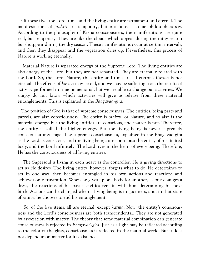Of these five, the Lord, time, and the living entity are permanent and eternal. The manifestations of *prakrti* are temporary, but not false, as some philosophers say. According to the philosophy of Krsna consciousness, the manifestations are quite real, but temporary. They are like the clouds which appear during the rainy season but disappear during the dry season. These manifestations occur at certain intervals, and then they disappear and the vegetation dries up. Nevertheless, this process of Nature is working eternally.

 Material Nature is separated energy of the Supreme Lord. The living entities are also energy of the Lord, but they are not separated. They are eternally related with the Lord. So, the Lord, Nature, the entity and time are all eternal. *Karma* is not eternal. The effects of *karma* may be old, and we may be suffering from the results of activity performed in time immemorial, but we are able to change our activities. We simply do not know which activities will give us release from these material entanglements. This is explained in the *Bhagavad-gita*.

 The position of God is that of supreme consciousness. The entities, being parts and parcels, are also consciousness. The entity is *prakrti*, or Nature, and so also is the material energy; but the living entities are conscious, and matter is not. Therefore, the entity is called the higher energy. But the living being is never supremely conscious at any stage. The supreme consciousness, explained in the Bhagavad-gita as the Lord, is conscious, and the living beings are conscious: the entity of his limited body, and the Lord infinitely. The Lord lives in the heart of every being. Therefore, He has the consciousness of all living entities.

 The Supersoul is living in each heart as the controller. He is giving directions to act as He desires. The living entity, however, forgets what to do. He determines to act in one way, then becomes entangled in his own actions and reactions and achieves only frustration. When he gives up one body for another, as one changes a dress, the reactions of his past activities remain with him, determining his next birth. Actions can be changed when a living being is in goodness, and, in that state of sanity, he chooses to end his entanglement.

 So, of the five items, all are eternal, except *karma*. Now, the entity's consciousness and the Lord's consciousness are both transcendental. They are not generated by association with matter. The theory that some material combination can generate consciousness is rejected in *Bhagavad-gita*. Just as a light may be reflected according to the color of the glass, consciousness is reflected in the material world. But it does not depend upon matter for its existence.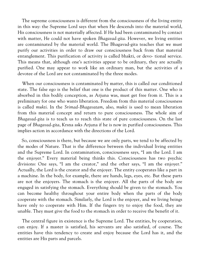The supreme consciousness is different from the consciousness of the living entity in this way: the Supreme Lord says that when He descends into the material world, His consciousness is not materially affected. If He had been contaminated by contact with matter, He could not have spoken *Bhagavad-gita*. However, we living entities are contaminated by the material world. The Bhagavad-gita teaches that we must purify our activities in order to draw our consciousness back from that material entanglement. This purification of activity is called bhakti, or devo- tional service. This means that, although one's activities appear to be ordinary, they are actually purified. One may appear to work like an ordinary man, but the activities of a devotee of the Lord are not contaminated by the three modes.

 When our consciousness is contaminated by matter, this is called our conditioned state. The false ego is the belief that one is the product of this matter. One who is absorbed in this bodily conception, as Arjuna was, must get free from it. This is a preliminary for one who wants liberation. Freedom from this material consciousness is called *mukti*. In the *Srimad-Bhagavatam*, also, *mukti* is used to mean liberation from this material concept and return to pure consciousness. The whole aim of *Bhagavad-gita* is to teach us to reach this state of pure consciousness. On the last page of *Bhagavad-gita*, Krsna asks Arjuna if he is now in purified consciousness. This implies action in accordance with the directions of the Lord.

 So, consciousness is there, but because we are only parts, we tend to be affected by the modes of Nature. That is the difference between the individual living entities and the Supreme Lord. In contamination, consciousness says, "I am the Lord. I am the enjoyer." Every material being thinks this. Consciousness has two psychic divisions: One says, "I am the creator," and the other says, "I am the enjoyer." Actually, the Lord is the creator and the enjoyer. The entity cooperates like a part in a machine. In the body, for example, there are hands, legs, eyes, etc. But these parts are not the enjoyers. The stomach is the enjoyer. All the parts of the body are engaged in satisfying the stomach. Everything should be given to the stomach. You can become healthy throughout your entire body when the parts of the body cooperate with the stomach. Similarly, the Lord is the enjoyer, and we living beings have only to cooperate with Him. If the fingers try to enjoy the food, they are unable. They must give the food to the stomach in order to receive the benefit of it.

 The central figure in existence is the Supreme Lord. The entities, by cooperation, can enjoy. If a master is satisfied, his servants are also satisfied, of course. The entities have this tendency to create and enjoy because the Lord has it, and the entities are His parts and parcels.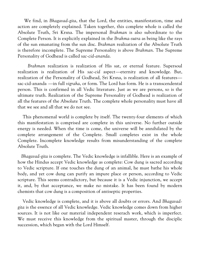We find, in *Bhagavad-gita*, that the Lord, the entities, manifestation, time and action are completely explained. Taken together, this complete whole is called the Absolute Truth, Sri Krsna. The impersonal *Brahman* is also subordinate to the Complete Person. It is explicitly explained in the *Brahma-sutra* as being like the rays of the sun emanating from the sun disc. *Brahman* realization of the Absolute Truth is therefore incomplete. The Supreme Personality is above *Brahman*. The Supreme Personality of Godhead is called *sac-cid-ananda*.

 *Brahman* realization is realization of His sat, or eternal feature. Supersoul realization is realization of His *sac-cid* aspect—eternity and knowledge. But, realization of the Personality of Godhead, Sri Krsna, is realization of all features sac-cid-ananda —in full *vigraha*, or form. The Lord has form. He is a transcendental person. This is confirmed in all Vedic literature. Just as we are persons, so is the ultimate truth. Realization of the Supreme Personality of Godhead is realization of all the features of the Absolute Truth. The complete whole personality must have all that we see and all that we do not see.

 This phenomenal world is complete by itself. The twenty-four elements of which this manifestation is comprised are complete in this universe. No further outside energy is needed. When the time is come, the universe will be annihilated by the complete arrangement of the Complete. Small completes exist in the whole Complete. Incomplete knowledge results from misunderstanding of the complete Absolute Truth.

 *Bhagavad-gita* is complete. The Vedic knowledge is infallible. Here is an example of how the Hindus accept Vedic knowledge as complete: Cow dung is sacred according to Vedic scripture. If one touches the dung of an animal, he must bathe his whole body, and yet cow dung can purify an impure place or person, according to Vedic scripture. This seems contradictory, but because it is a Vedic injunction, we accept it, and, by that acceptance, we make no mistake. It has been found by modern chemists that cow dung is a composition of antiseptic properties.

 Vedic knowledge is complete, and it is above all doubts or errors. And *Bhagavadgita* is the essence of all Vedic knowledge. Vedic knowledge comes down from higher sources. It is not like our material independent reserach work, which is imperfect. We must receive this knowledge from the spiritual master, through the disciplic succession, which began with the Lord Himself.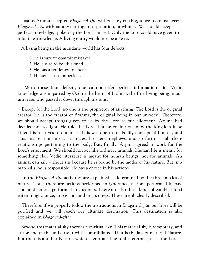Just as Arjuna accepted *Bhagavad-gita* without any cutting, so we too must accept *Bhagavad-gita* without any cutting, interpretation, or whimsy. We should accept it as perfect knowledge, spoken by the Lord Himself. Only the Lord could have given this infallible knowledge. A living entity would not be able to.

A living being in the mundane world has four defects:

- 1. He is sure to commit mistakes.
- 2. He is sure to be illusioned.
- 3. He has a tendency to cheat.
- 4. His senses are imperfect.

 With these four defects, one cannot offer perfect information. But Vedic knowledge was imparted by God in the heart of Brahma, the first living being in our universe, who passed it down through his sons.

 Except for the Lord, no one is the proprietor of anything. The Lord is the original creator. He is the creator of Brahma, the original being in our universe. Therefore, we should accept things given to us by the Lord as our allotment. Arjuna had decided not to fight. He told the Lord that he could not enjoy the kingdom if he killed his relatives to obtain it. This was due to his bodily concept of himself, and thus his relationship with uncles, brothers, nephews, and so forth — all these relationships pertaining to the body. But, finally, Arjuna agreed to work for the Lord's enjoyment. We should not act like ordinary animals. Human life is meant for something else. Vedic literature is meant for human beings, not for animals. An animal can kill without sin because he is bound by the modes of his nature. But, if a man kills, he is responsible. He has a choice in his actions.

 In the *Bhagavad-gita* activities are explained as determined by the three modes of nature. Thus, there are actions performed in ignorance, actions performed in passion, and actions performed in goodness. There are also three kinds of eatables: food eaten in ignorance, in passion, and in goodness. These are all clearly described.

 Therefore, if we properly follow the instructions in *Bhagavad-gita*, our lives will be purified and we will reach our ultimate destination. This destination is also explained in *Bhagavad-gita:*

 Beyond this material sky there is a spiritual sky. This material sky is temporary, and at the end of this universe it will be annihilated. That is the law of material Nature. But there is another Nature, which is eternal. The soul is eternal just as the Lord is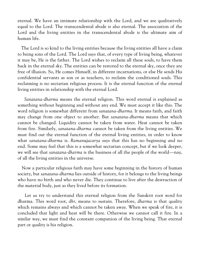eternal. We have an intimate relationship with the Lord, and we are qualitatively equal to the Lord. The transcendental abode is also eternal. The association of the Lord and the living entities in the transcendental abode is the ultimate aim of human life.

 The Lord is so kind to the living entities because the living entities all have a claim to being sons of the Lord. The Lord says that, of every type of living being, whatever it may be, He is the father. The Lord wishes to reclaim all these souls, to have them back in the eternal sky. The entities can be restored to the eternal sky, once they are free of illusion. So, He comes Himself, in different incarnations, or else He sends His confidential servants as son or as teachers, to reclaim the conditioned souls. This reclaiming is no sectarian religious process. It is the eternal function of the eternal living entities in relationship with the eternal Lord.

 *Sanatana-dharma* means the eternal religion. This word eternal is explained as something without beginning and without any end. We must accept it like this. The word religion is somewhat different from *sanatana-dharma*. It means faith, and faith may change from one object to another. But *sanatana-dharma* means that which cannot be changed. Liquidity cannot be taken from water. Heat cannot be taken from fire. Similarly, *sanatana-dharma* cannot be taken from the living entities. We must find out the eternal function of the eternal living entities, in order to know what *sanatana-dharma* is. *Ramanujacarya* says that this has no beginning and no end. Some may feel that this is a somewhat sectarian concept, but if we look deeper, we will see that *sanatana-dharma* is the business of all the people of the world—nay, of all the living entities in the universe.

 Now a particular religious faith may have some beginning in the history of human society, but *sanatana-dharma* lies outside of history, for it belongs to the living beings who have no birth and who never die. They continue to live after the destruction of the material body, just as they lived before its formation.

 Let us try to understand this eternal religion from the Sanskrit root word for dharma. This word root, *dhr*, means to sustain. Therefore, *dharma* is that quality which remains always and which cannot be taken away. When we speak of fire, it is concluded that light and heat will be there. Otherwise we cannot call it fire. In a similar way, we must find the constant companion of the living being. That eternal part or quality is his religion.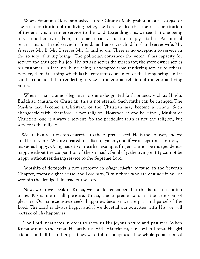When Sanatana Gosvamin asked Lord Caitanya Mahaprabhu about *svarupa*, or the real constitution of the living being, the Lord replied that the real constitution of the entity is to render service to the Lord. Extending this, we see that one being serves another living being in some capacity and thus enjoys its life. An animal serves a man, a friend serves his friend, mother serves child, husband serves wife, Mr. A serves Mr. B, Mr. B serves Mr. C, and so on. There is no exception to service in the society of living beings. The politician convinces the voter of his capacity for service and thus gets his job. The artisan serves the merchant; the store owner serves his customer. In fact, no living being is exempted from rendering service to others. Service, then, is a thing which is the constant companion of the living being, and it can be concluded that rendering service is the eternal religion of the eternal living entity.

 When a man claims allegiance to some designated faith or sect, such as Hindu, Buddhist, Muslim, or Christian, this is not eternal. Such faiths can be changed. The Muslim may become a Christian, or the Christian may become a Hindu. Such changeable faith, therefore, is not religion. However, if one be Hindu, Muslim or Christian, one is always a servant. So the particular faith is not the religion, but service is the religion.

 We are in a relationship of service to the Supreme Lord. He is the enjoyer, and we are His servants. We are created for His enjoyment, and if we accept that position, it makes us happy. Going back to our earlier example, fingers cannot be independently happy without the cooperation of the stomach. Similarly, the living entity cannot be happy without rendering service to the Supreme Lord.

 Worship of demigods is not approved in *Bhagavad-gita* because, in the Seventh Chapter, twenty-eighth verse, the Lord says, "Only those who are cast adrift by lust worship the demigods instead of the Lord."

 Now, when we speak of Krsna, we should remember that this is not a sectarian name. Krsna means all pleasure. Krsna, the Supreme Lord, is the reservoir of pleasure. Our consciousness seeks happiness because we are part and parcel of the Lord. The Lord is always happy, and if we dovetail our activities with His, we will partake of His happiness.

 The Lord incarnates in order to show us His joyous nature and pastimes. When Krsna was at Vrndavana, His activities with His friends, the cowherd boys, His girl friends, and all His other pastimes were full of happiness. The whole population of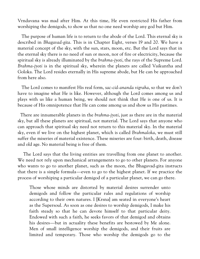Vrndavana was mad after Him. At this time, He even restricted His father from worshiping the demigods, to show us that no one need worship any god but Him.

 The purpose of human life is to return to the abode of the Lord. This eternal sky is described in *Bhagavad-gita*. This is in Chapter Eight, verses 19 and 20. We have a material concept of the sky, with the sun, stars, moon, etc. But the Lord says that in the eternal sky there is no need of sun or moon, nor of fire or electricity, because the spiritual sky is already illuminated by the *brahma-jyoti*, the rays of the Supreme Lord. *Brahma-jyoti* is in the spiritual sky, wherein the planets are called Vaikuntha and Goloka. The Lord resides eternally in His supreme abode, but He can be approached from here also.

 The Lord comes to manifest His real form, *sac-cid-ananda vigraha*, so that we don't have to imagine what He is like. However, although the Lord comes among us and plays with us like a human being, we should not think that He is one of us. It is because of His omnipotence that He can come among us and show us His pastimes.

 There are innumerable planets in the *brahma-jyoti*, just as there are in the material sky, but all these planets are spiritual, not material. The Lord says that anyone who can approach that spiritual sky need not return to this material sky. In the material sky, even if we live on the highest planet, which is called *Brahmaloka*, we must still suffer the miseries of material existence. These miseries are four: birth, death, disease and old age. No material being is free of them.

 The Lord says that the living entities are travelling from one planet to another. We need not rely upon mechanical arrangements to go to other planets. For anyone who wants to go to another planet, such as the moon, the Bhagavad-gita instructs that there is a simple formula—even to go to the highest planet. If we practice the process of worshiping a particular demigod of a particular planet, we can go there.

Those whose minds are distorted by material desires surrender unto demigods and follow the particular rules and regulations of worship according to their own natures. I [Krsna] am seated in everyone's heart as the Supersoul. As soon as one desires to worship demigods, I make his faith steady so that he can devote himself to that particular deity. Endowed with such a faith, he seeks favors of that demigod and obtains his desires—but in actuality these benefits are bestowed by Me alone. Men of small intelligence worship the demigods, and their fruits are limited and temporary. Those who worship the demigods go to the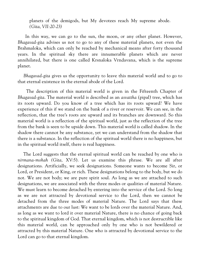planets of the demigods, but My devotees reach My supreme abode. *(Gita, VII:20-23)*

 In this way, we can go to the sun, the moon, or any other planet. However, *Bhagavad-gita* advises us not to go to any of these material planets, not even the Brahmaloka, which can only be reached by mechanical means after forty thousand years. In the spiritual sky there are innumerable planets which are never annihilated, but there is one called Krsnaloka Vrndavana, which is the supreme planet.

 *Bhagavad-gita* gives us the opportunity to leave this material world and to go to that eternal existence in the eternal abode of the Lord.

 The description of this material world is given in the Fifteenth Chapter of *Bhagavad-gita*. The material world is described as an *asvattha* (pipal) tree, which has its roots upward. Do you know of a tree which has its roots upward? We have experience of this if we stand on the bank of a river or reservoir. We can see, in the reflection, that the tree's roots are upward and its branches are downward. So this material world is a reflection of the spiritual world, just as the reflection of the tree from the bank is seen to be upside down. This material world is called shadow. In the shadow there cannot be any substance, yet we can understand from the shadow that there is a substance. In the reflection of the spiritual world there is no happiness, but in the spiritual world itself, there is real happiness.

 The Lord suggests that the eternal spiritual world can be reached by one who is *nirmana-mohah (Gita,* XV:5). Let us examine this phrase. We are all after designations. Artificially, we seek designations. Someone wants to become Sir, or Lord, or President, or King, or rich. These designations belong to the body, but we do not. We are not body; we are pure spirit soul. As long as we are attached to such designations, we are associated with the three modes or qualities of material Nature. We must learn to become detached by entering into the service of the Lord. So long as we are not attracted by devotional service to the Lord, then we cannot be detached from the three modes of material Nature. The Lord says that these attachments are due to our lust: We want to be lords over the material Nature. And, as long as we want to lord it over material Nature, there is no chance of going back to the spiritual kingdom of God. That eternal kingdom, which is not destructible like this material world, can be approached only by one who is not bewildered or attracted by this material Nature. One who is attracted by devotional service to the Lord can go to that eternal kingdom.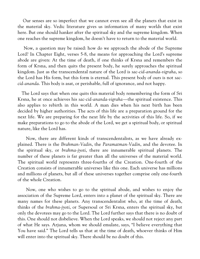Our senses are so imperfect that we cannot even see all the planets that exist in the material sky. Vedic literature gives us information of many worlds that exist here. But one should hanker after the spiritual sky and the supreme kingdom. When one reaches the supreme kingdom, he doesn't have to return to the material world.

 Now, a question may be raised: how do we approach the abode of the Supreme Lord? In Chapter Eight, verses 5-8, the means for approaching the Lord's supreme abode are given: At the time of death, if one thinks of Krsna and remembers the form of Krsna, and then quits the present body, he surely approaches the spiritual kingdom. Just as the transcendental nature of the Lord is *sac-cid-ananda-vigraha*, so the Lord has His form, but this form is eternal. This present body of ours is not *saccid-ananda*. This body is asat, or perishable, full of ignorance, and not happy.

 The Lord says that when one quits this material body remembering the form of Sri Krsna, he at once achieves his *sac-cid-ananda-vigraha*—the spiritual existence. This also applies to rebirth in this world. A man dies when his next birth has been decided by higher authorities. The acts of this life are a preparation ground for the next life. We are preparing for the next life by the activities of this life. So, if we make preparations to go to the abode of the Lord, we get a spiritual body, or spiritual nature, like the Lord has.

 Now, there are different kinds of transcendentalists, as we have already explained. There is the *Brahman-Vadin*, the *Paramatman-Vadin*, and the devotee. In the spiritual sky, or *brahma-jyoti*, there are innumerable spiritual planets. The number of these planets is far greater than all the universes of the material world. The spiritual world represents three-fourths of the Creation. One-fourth of the Creation consists of innumerable universes like this one. Each universe has millions and millions of planets, but all of these universes together comprise only one-fourth of the whole Creation.

 Now, one who wishes to go to the spiritual abode, and wishes to enjoy the association of the Supreme Lord, enters into a planet of the spiritual sky. There are many names for these planets. Any transcendentalist who, at the time of death, thinks of the *brahma-jyoti*, or Supersoul or Sri Krsna, enters the spiritual sky, but only the devotees may go to the Lord. The Lord further says that there is no doubt of this. One should not disbelieve. When the Lord speaks, we should not reject any part of what He says. Arjuna, whom we should emulate, says, "I believe everything that You have said." The Lord tells us that at the time of death, whoever thinks of Him will enter into the spiritual sky. There should be no doubt of this.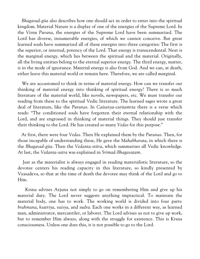*Bhagavad-gita* also describes how one should act in order to enter into the spiritual kingdom. Material Nature is a display of one of the energies of the Supreme Lord. In the *Visnu Purana*, the energies of the Supreme Lord have been summarized. The Lord has diverse, innumerable energies, of which we cannot conceive. But great learned souls have summarized all of these energies into three categories: The first is the superior, or internal, potency of the Lord. That energy is transcendental. Next is the marginal energy, which lies between the spiritual and the material. Originally, all the living entities belong to the eternal superior energy. The third energy, matter, is in the mode of ignorance. Material energy is also from God. And we can, at death, either leave this material world or remain here. Therefore, we are called marginal.

 We are accustomed to think in terms of material energy. How can we transfer our thinking of material energy into thinking of spiritual energy? There is so much literature of the material world, like novels, newspapers, etc. We must transfer our reading from these to the spiritual Vedic literature. The learned sages wrote a great deal of literature, like the *Puranas*. In *Caitanya-caritamrta* there is a verse which reads: "The conditioned souls have forgotten their eternal relationship with the Lord, and are engrossed in thinking of material things. They should just transfer their thinking to the Lord. He has created so many *Vedas* for this purpose."

 At first, there were four *Vedas*. Then He explained them by the *Puranas*. Then, for those incapable of understanding these, He gave the *Mahabharata*, in which there is the *Bhagavad-gita*. Then the *Vedanta-stitra*, which summarizes all Vedic knowledge. At last, the *Vedanta-satra* was explained in *Srimad-Bhagavatam*.

 Just as the materialist is always engaged in reading materialistic literature, so the devotee centers his reading capacity in this literature, so kindly presented by Vyasadeva, so that at the time of death the devotee may think of the Lord and go to Him.

 Krsna advises Arjuna not simply to go on remembering Him and give up his material duty. The Lord never suggests anything impractical. To maintain the material body, one has to work. The working world is divided into four parts: *brahmana*, *ksatriya*, *vaisya*, and *sudra*. Each one works in a different way, as learned man, administrator, mercantiler, or laborer. The Lord advises us not to give up work, but to remember Him always, along with the struggle for existence. This is Krsna consciousness. Unless one does this, it is not possible to go to the Lord.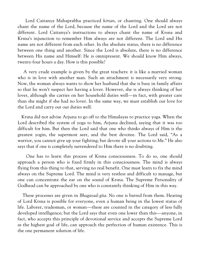Lord Caitanya Mahaprabhu practiced *kirtan*, or chanting. One should always chant the name of the Lord, because the name of the Lord and the Lord are not different. Lord Caitanya's instructions to always chant the name of Krsna and Krsna's injunction to remember Him always are not different. The Lord and His name are not different from each other. In the absolute status, there is no difference between one thing and another. Since the Lord is absolute, there is no difference between His name and Himself: He is omnipresent. We should know Him always, twenty-four hours a day. How is this possible?

 A very crude example is given by the great teachers: it is like a married woman who is in love with another man. Such an attachment is necessarily very strong. Now, the woman always wants to show her husband that she is busy in family affairs so that he won't suspect her having a lover. However, she is always thinking of her lover, although she carries on her household duties well—in fact, with greater care than she might if she had no lover. In the same way, we must establish our love for the Lord and carry out our duties well.

 Krsna did not advise Arjuna to go off to the Himalayas to practice yoga. When the Lord described the system of yoga to him, Arjuna declined, saying that it was too difficult for him. But then the Lord said that one who thinks always of Him is the greatest yogin, the supermost seer, and the best devotee. The Lord said, "As a warrior, you cannot give up your fighting; but devote all your actions to Me." He also says that if one is completely surrendered to Him there is no doubting.

 One has to learn this process of Krsna consciousness. To do so, one should approach a person who is fixed firmly in this consciousness. The mind is always flying from this thing to that, serving no real benefit. One must learn to fix the mind always on the Supreme Lord. The mind is very restless and difficult to manage, but one can concentrate the ear on the sound of Krsna. The Supreme Personality of Godhead can be approached by one who is constantly thinking of Him in this way.

 These processes are given in *Bhagavad-gita*. No one is barred from them. Hearing of Lord Krsna is possible for everyone, even a human being in the lowest status of life. Laborer, tradesman, or woman—these are counted in the category of less fully developed intelligence; but the Lord says that even one lower than this—anyone, in fact, who accepts this principle of devotional service and accepts the Supreme Lord as the highest goal of life, can approach the perfection of human existence. This is the one permanent solution of life.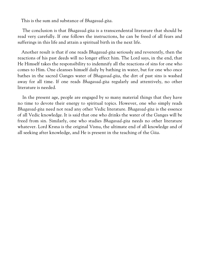This is the sum and substance of *Bhagavad-gita*.

 The conclusion is that *Bhagavad-gita* is a transcendental literature that should be read very carefully. If one follows the instructions, he can be freed of all fears and sufferings in this life and attain a spiritual birth in the next life.

 Another result is that if one reads *Bhagavad-gita* seriously and reverently, then the reactions of his past deeds will no longer effect him. The Lord says, in the end, that He Himself takes the responsibility to indemnify all the reactions of sins for one who comes to Him. One cleanses himself daily by bathing in water, but for one who once bathes in the sacred Ganges water of *Bhagavad-gita*, the dirt of past sins is washed away for all time. If one reads *Bhagavad-gita* regularly and attentively, no other literature is needed.

 In the present age, people are engaged by so many material things that they have no time to devote their energy to spiritual topics. However, one who simply reads *Bhagavad-gita* need not read any other Vedic literature. *Bhagavad-gita* is the essence of all Vedic knowledge. It is said that one who drinks the water of the Ganges will be freed from sin. Similarly, one who studies *Bhagavad-gita* needs no other literature whatever. Lord Krsna is the original Visnu, the ultimate end of all knowledge and of all seeking after knowledge, and He is present in the teaching of the *Gita*.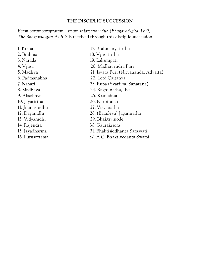### **THE DISCIPLIC SUCCESSION**

*Evam paramparapratam imam rajarsayo viduh (Bhagavad-gita, IV:2). The Bhagavad-gita As It ls* is received through this disciplic succession:

- 
- 
- 
- 
- 
- 
- 
- 
- 
- 
- 11. Jnanasindhu 27. Visvanatha
- 
- 
- 
- 
- 
- 1. Krsna 17. Brahmanyatirtha
- 2. Brahma 18. Vyasatirtha
- 3. Narada 19. Laksmipati
- 4. Vyasa 20. Madhavendra Puri
- 5. Madhva 21. Isvara Puri (Nityananda, Advaita)
- 6. Padmanabha 22. Lord Caitanya
- 7. Nrhari 23. Rupa (Svarfipa, Sanatana)
- 8. Madhava 24. Raghunatha, Jiva
- 9. Aksobhya 25. Krsnadasa
- 10. Jayatirtha 26. Narottama
	-
- 12. Dayanidhi 28. (Baladeva) Jagannatha
- 13. Vidyanidhi 29. Bhaktivinode
- 14. Rajendra 30. Gaurakisora
- 15. Jayadharma 31. Bhaktisiddhanta Sarasvati
- 16. Purusottama 32. A.C. Bhaktivedanta Swami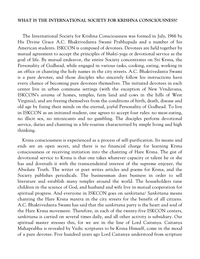#### <span id="page-43-0"></span>**WHAT IS THE INTERNATIONAL SOCIETY FOR KRISHNA CONSCIOUSNESS?**

 The International Society for Krishna Consciousness was formed in July, 1966 by His Divine Grace A.C. Bhaktivedanta Swami Prabhupada and a number of his American students. ISKCON is composed of devotees. Devotees are held together by mutual agreement to accept the principles of *bhakti-yoga* or devotional service as the goal of life. By mutual endeavor, the entire Society concentrates on Sri Krsna, the Personality of Godhead, while engaged in various tasks, cooking, eating, working in an office or chanting the holy names in the city streets. A.C. Bhaktivedanta Swami is a pure devotee, and those disciples who sincerely follow his instructions have every chance of becoming pure devotees themselves. The initiated devotees in each center live in urban commune settings (with the exception of New Vrndavana, ISKCON's *asrama* of homes, temples, farm land and cows in the hills of West Virginia), and are freeing themselves from the conditions of birth, death, disease and old age by fixing their minds on the eternal, joyful Personality of Godhead. To live in ISKCON as an initiated student, one agrees to accept four rules: no meat-eating, no illicit sex, no intoxicants and no gambling. The disciples perform devotional service, duties and chanting in a life-routine characterized by simple living and high thinking.

 Krsna consciousness is experienced as a process of self-purification. Its means and ends are an open secret, and there is no financial charge for learning Krsna consciousness or receiving initiation into the chanting of Hare Krsna. The gist of devotional service to Krsna is that one takes whatever capacity or talent he or she has and dovetails it with the transcendental interest of the supreme enjoyer, the Absolute Truth. The writer or poet writes articles and poems for Krsna, and the Society publishes periodicals. The businessman does business in order to sell literature and establish many temples around the world. The householders raise children in the science of God, and husband and wife live in mutual cooperation for spiritual progress. And everyone in ISKCON goes on *sankirtana! Sankirtana* means chanting the Hare Krsna *mantra* in the city streets for the benefit of all citizens. A.C. Bhaktivedanta Swami has said that the *sankirtana* party is the heart and soul of the Hare Krsna movement. Therefore, in each of the twenty-five ISKCON centers, *sankirtana* is carried on several times daily, and all other activity is subsidiary. Our spiritual master stresses this, for we are in the line of Lord Caitanya. Caitanya Mahaprabhu is revealed by Vedic scriptures to be Krsna Himself, come in the mood of a pure devotee. Five hundred years ago Lord Caitanya understood from scripture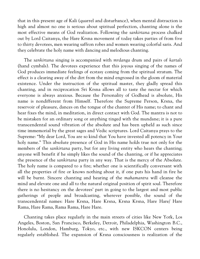that in this present age of Kali (quarrel and disturbance), when mental distraction is high and almost no one is serious about spiritual perfection, chanting alone is the most effective means of God realization. Following the *sankirtana* process chalked out by Lord Caitanya, the Hare Krsna movement of today takes parties of from five to thirty devotees, men wearing saffron robes and women wearing colorful saris. And they celebrate the holy name with dancing and melodious chanting.

 The *sankirtana* singing is accompanied with *mrdanga* drum and pairs of *kartals*  (hand cymbals). The devotees experience that this joyous singing of the names of God produces immediate feelings of ecstasy coming from the spiritual stratum. The effect is a clearing away of the dirt from the mind engrossed in the gloom of material existence. Under the instruction of the spiritual master, they gladly spread this chanting, and in reciprocation Sri Krsna allows all to taste the nectar for which everyone is always anxious. Because the Personality of Godhead is absolute, His name is nondifferent from Himself. Therefore the Supreme Person, Krsna, the reservoir of pleasure, dances on the tongue of the chanter of His name; to chant and hear fixes the mind, in meditation, in direct contact with God. The mantra is not to be mistaken for an ordinary song or anything tinged with the mundane; it is a pure transcendental sound vibration of the absolute and has been upheld as such since time immemorial by the great sages and Vedic scriptures. Lord Caitanya prays to the Supreme: "My dear Lord, You are so kind that You have invested all potency in Your holy name." This absolute presence of God in His name holds true not only for the members of the *sankirtana* party, but for any living entity who hears the chanting; anyone will benefit if he simply likes the sound of the chanting, or if he appreciates the presence of the *sankirtana* party in any way. That is the mercy of the Absolute. The holy name is compared to a fire; whether one is scientifically conversant with all the properties of fire or knows nothing about it, if one puts his hand in fire he will be burnt. Sincere chanting and hearing of the *mahamantra* will cleanse the mind and elevate one and all to the natural original position of spirit soul. Therefore there is no hesitancy on the devotees' part in going to the largest and most public gatherings of people and broadcasting, wherever possible, the sound of the transcendental names: Hare Krsna, Hare Krsna, Krsna Krsna, Hare Hare/ Hare Rama, Hare Rama, Rama Rama, Hare Hare.

 Chanting takes place regularly in the main streets of cities like New York, Los Angeles, Boston, San Francisco, Berkeley, Detroit, Philadelphia, Washington B.C., Honolulu, London, Hamburg, Tokyo, etc., with new ISKCON centers being regularly established. The expansion of Krsna consciousness is realization of the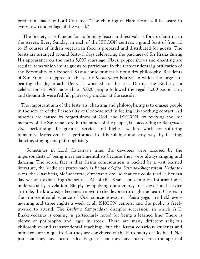prediction made by Lord Caitanya: "The chanting of Hare Krsna will be heard in every town and village of the world."

 The Society is as famous for its Sunday feasts and festivals as for its chanting in the streets. Every Sunday, in each of the ISKCON centers, a grand feast of from 10 to 15 courses of Indian vegetarian food is prepared and distributed for guests. The feasts are arranged around festival days celebrating the pastimes of Sri Krsna during His appearance on the earth 5,000 years ago. Plays, puppet shows and chanting are regular items which invite guests to participate in the transcendental glorification of the Personality of Godhead. Krsna consciousness is not a dry philosophy. Residents of San Francisco appreciate the yearly *Ratha-yatra* Festival in which the large cart bearing the Jagannath Deity is wheeled to the sea. During the Ratha-yatra celebration of 1969, more than 15,000 people followed the regal 8,000-pound cart, and thousands were fed full plates of *prasadam* at the seaside.

 The important aim of the festivals, chanting and philosophizing is to engage people in the service of the Personality of Godhead and in feeling His soothing contact. All miseries are caused by forgetfulness of God, and ISKCON, by reviving the lost memory of the Supreme Lord in the minds of the people, is—according to *Bhagavadgita*—performing the greatest service and highest welfare work for suffering humanity. Moreover, it is performed in this sublime and easy way, by feasting, dancing, singing and philosophizing.

 Sometimes in Lord Caitanya's time, the devotees were accused by the impersonalists of being mere sentimentalists because they were always singing and dancing. The actual fact is that Krsna consciousness is backed by a vast learned literature, the Vedic scriptures such as *Bhagavad-gita*, *Srimad-Bhagavatam*, *Vedantasutra*, the *Upanisads*, *Mahabharata*, *Ramayana*, etc., so that one could read 24 hours a day without exhausting the source. All of this Krsna consciousness information is understood by revelation. Simply by applying one's energy in a devotional service attitude, the knowledge becomes known to the devotee through the heart. Classes in the transcendental science of God consciousness, or *bhakti-yoga*, are held every morning and three nights a week at all ISKCON centers, and the public is freely invited to attend. The *Brahma Sampradaya* disciplic succession, in which A.C. Bhaktivedanta is coming, is particularly noted for being a learned line. There is plenty of philosophy and logic in stock. There are many different religious philosophies and transcendental teachings, but the Krsna conscious students and ministers are unique in that they are convinced of the Personality of Godhead. Not just that they have heard "God is great," but they have heard from the spiritual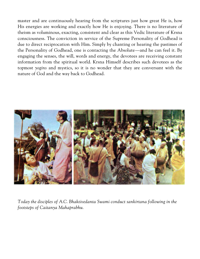master and are continuously hearing from the scriptures just how great He is, how His energies are working and exactly how He is enjoying. There is no literature of theism as voluminous, exacting, consistent and clear as this Vedic literature of Krsna consciousness. The conviction in service of the Supreme Personality of Godhead is due to direct reciprocation with Him. Simply by chanting or hearing the pastimes of the Personality of Godhead, one is contacting the Absolute—and he can feel it. By engaging the senses, the will, words and energy, the devotees are receiving constant information from the spiritual world. Krsna Himself describes such devotees as the topmost *yogins* and mystics, so it is no wonder that they are conversant with the nature of God and the way back to Godhead.



*Today the disciples of A.C. Bhaktivedanta Swami conduct sankirtana following in the footsteps of Caitanya Mahaprabhu.*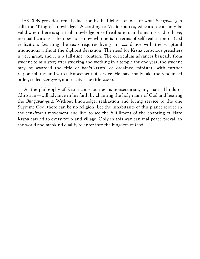ISKCON provides formal education in the highest science, or what *Bhagavad-gita*  calls the "King of knowledge." According to Vedic sources, education can only be valid when there is spiritual knowledge or self-realization, and a man is said to have; no qualifications if he does not know who he is in terms of self-realization or God realization. Learning the texts requires living in accordance with the scriptural injunctions without the slightest deviation. The need for Krsna conscious preachers is very great, and it is a full-time vocation. The curriculum advances basically from student to minister; after studying and working in a temple for one year, the student may be awarded the title of *bhakti-sastri*, or ordained minister, with further responsibilities and with advancement of service. He may finally take the renounced order, called *sannyasa*, and receive the title *svami*.

 As the philosophy of Krsna consciousness is nonsectarian, any man—Hindu or Christian—will advance in his faith by chanting the holy name of God and hearing the *Bhagavad-gita*. Without knowledge, realization and loving service to the one Supreme God, there can be no religion. Let the inhabitants of this planet rejoice in the *sankirtana* movement and live to see the fulfillment of the chanting of Hare Krsna carried to every town and village. Only in this way can real peace prevail in the world and mankind qualify to enter into the kingdom of God.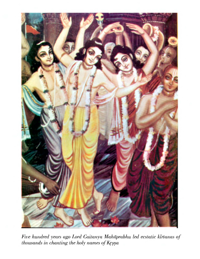

Five hundred years ago Lord Caitanya Mahaprabhu led ecstatic kirtanas of thousands in chanting the holy names of Krsna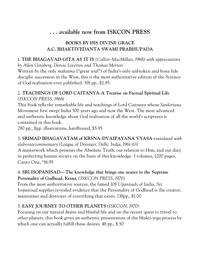# **. . . available now from ISKCON PRESS**

# **BOOKS BY HIS DIVINE GRACE A.C. BHAKTIVEDANTA SWAMI PRABHUPADA**

### 1. **THE BHAGAVAD-GITA AS IT IS** *(Collier-MacMillan, 1968) with appreciations by Allen Ginsberg, Denise Levertov and Thomas Merton*

Written by the only *mahatma* ("great soul") of India's only unbroken and bona fide disciplic succession in the West, this is the most authoritative edition of the Science of God realization ever published. 318 pp., \$2.95

# 2. **TEACHINGS OF LORD CAITANYA-A Treatise on Factual Spiritual Life** *(ISKCON PRESS, 1968)*

This book tells the remarkable life and teachings of Lord Caitanya whose *Sankirtana* Movement first swept India 500 years ago and now the West. The most advanced and authentic knowledge about God realization of all the world's scriptures is contained in this book.

290 pp., llpp. illustrations, hardbound, \$5.95

3. **SRIMAD BHAGAVATAM of KRSNA-DVAIPAYANA VYASA***-translated with elaboratecommentary.(League of Devotees, Delhi, India, 1961-63)*

A masterwork which presents the Absolute Truth, our relation to Him, and our duty in perfecting human society on the basis of this knowledge. 3 volumes, 1200 pages, Canto One, "16.95

# 4. **SRI ISOPANISAD—The knowledge that brings one nearer to the Supreme Personality of Godhead, Krsna.** *(ISKCON PRESS, 1970)*

From the most authoritative sources, the famed 108 *Upanisads* of India, Sri *Isopanisad* supplies revealed evidence that the Personality of Godhead is the creator, maintainer and destroyer of everything that exists. 138pp., \$1.00

# 5. **EASY JOURNEY TO OTHER PLANETS** *(ISKCON, 1970)*

Focusing on our natural desire and blissful life and on the recent quest to travel to other planets, this book gives an authentic presentation of the *bhakti-yoga* process by which one can actually fulfill these desires. 48 pp., \$.50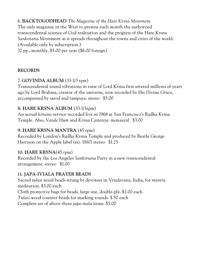6. **BACKTOGODHEAD**-*The Magazine of the Hare Krsna Movement* The only magazine in the West to present each month the authorized transcendental science of God realization and the progress of the Hare Krsna *Sankirtana* Movement as it spreads throughout the towns and cities of the world. (Available only by subscription.)

32 pp., monthly, \$5.00 per year (\$6.00 foreign)

# **RECORDS**

# 7. **GOVINDA ALBUM** (33-1/3 rpm)

Transcendental sound vibrations in raise of Lord Krsna first uttered millions of years ago by Lord Brahma, creator of the universe, now recorded by His Divine Grace, accompanied by sarod and tampura. stereo \$5.00

# **8. HARE KRSNA ALBUM** (33-1/3rpm)

An actual *kirtana* service recorded live in 1968 at San Francisco's Radha Krsna Temple. Also, *Vande Hum* and *Krsna Caitanya*. monaural \$3.00

### **9. HARE KRSNA MANTRA** (45 rpm)

Recorded by London's Radha Krsna Temple and produced by Beatle George Harrison on the Apple label (no. 1810) stereo \$1.25

# **10. HARE KRSNA**(45 rpm)

Recorded by the Los Angeles *Sankirtana* Party in a new transcendental arrangement, stereo \$1.00

# **11. JAPA-IVIALA PRAYER BEADS**

Sacred *tulasi* wood beads strung by devotees in Vrndavana, India, for *mantra* meditation. \$3.00 each Cloth protective bags for beads, large size, double-ply. \$2.00 each *Tulasi* wood counter-beads for marking rounds. \$.50 each Complete set of above three *japa-mala* items. \$5.00